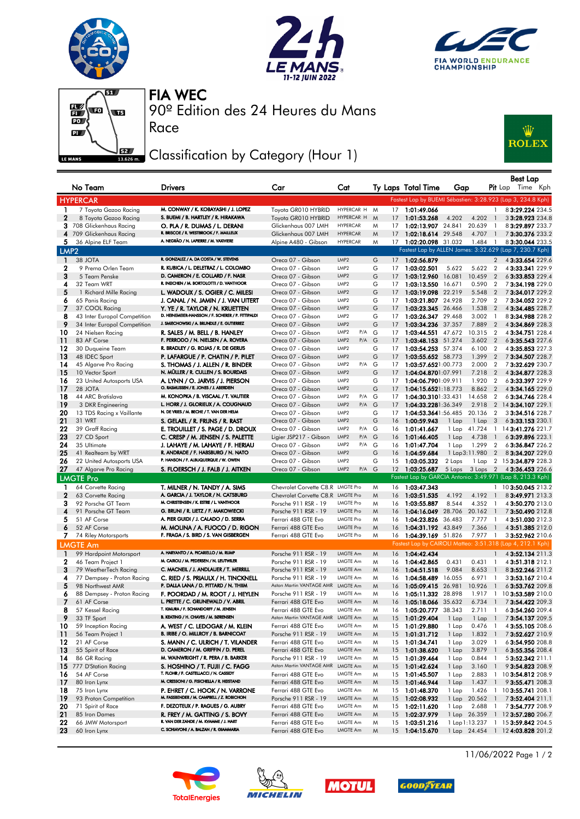







Race

90º Edition des 24 Heures du Mans FIA WEC

## Classification by Category (Hour 1)



|                  | No Team                            | Drivers                                                                       | Car                                        | Cat                     |              |                 | Ty Laps Total Time         | Gap    |                       | <b>Pit</b> Lap           | Best Lap<br>Time Kph                                        |
|------------------|------------------------------------|-------------------------------------------------------------------------------|--------------------------------------------|-------------------------|--------------|-----------------|----------------------------|--------|-----------------------|--------------------------|-------------------------------------------------------------|
|                  | <b>HYPERCAR</b>                    |                                                                               |                                            |                         |              |                 |                            |        |                       |                          | Fastest Lap by BUEMI Sébastien: 3:28.923 (Lap 3, 234.8 Kph) |
| 1                | 7 Toyota Gazoo Racing              | M. CONWAY / K. KOBAYASHI / J. LOPEZ                                           | Toyota GR010 HYBRID                        | HYPERCAR H              | M            | 17 <sup>7</sup> | 1:01:49.066                |        |                       | $\mathbf{1}$             | 83:29.224 234.5                                             |
| $\mathbf{2}$     | 8 Toyota Gazoo Racing              | S. BUEMI / B. HARTLEY / R. HIRAKAWA                                           | Toyota GR010 HYBRID                        | HYPERCAR H              | M            | 17              | 1:01:53.268                | 4.202  | 4.202                 | $\overline{1}$           | 33:28.923 234.8                                             |
|                  | 3 708 Glickenhaus Racing           | O. PLA / R. DUMAS / L. DERANI                                                 | Glickenhaus 007 LMH                        | <b>HYPERCAR</b>         | M            | 17              | 1:02:13.907 24.841         |        | 20.639                | -1                       | 83:29.897 233.7                                             |
|                  | 4 709 Glickenhaus Racing           | R. BRISCOE / R. WESTBROOK / F. MAILLEUX                                       | Glickenhaus 007 LMH                        | <b>HYPERCAR</b>         | M            | 17              | 1:02:18.614 29.548         |        | 4.707                 | $\overline{\phantom{a}}$ | 73:30.376 233.2                                             |
| 5.               | 36 Alpine ELF Team                 | A. NEGRÃO / N. LAPIERRE / M. VAXIVIERE                                        | Alpine A480 - Gibson                       | <b>HYPERCAR</b>         | M            |                 | 17 1:02:20.098 31.032      |        | $1.484$ 1             |                          | 83:30.044 233.5                                             |
| LMP <sub>2</sub> |                                    |                                                                               |                                            |                         |              |                 |                            |        |                       |                          | Fastest Lap by ALLEN James: 3:32.629 (Lap 7, 230.7 Kph)     |
| $\mathbf{1}$     | 38 JOTA                            | R. GONZALEZ / A. DA COSTA / W. STEVENS                                        | Oreca 07 - Gibson                          | LMP2                    | G            |                 | 17 1:02:56.879             |        |                       | $\overline{2}$           | 43:33.654 229.6                                             |
| $\mathbf{2}$     | 9 Prema Orlen Team                 | R. KUBICA / L. DELETRAZ / L. COLOMBO                                          | Oreca 07 - Gibson                          | LMP <sub>2</sub>        | G            | 17              | 1:03:02.501                | 5.622  | 5.622                 | $\overline{2}$           | 4 3:33.341 229.9                                            |
| 3                | 5 Team Penske                      | D. CAMERON / E. COLLARD / F. NASR                                             | Oreca 07 - Gibson                          | LMP <sub>2</sub>        | G            | 17              | 1:03:12.960                | 16.081 | 10.459                | $\overline{2}$           | 6 3:33.853 229.4                                            |
| 4                | 32 Team WRT                        | R. INEICHEN / M. BORTOLOTTI / D. VANTHOOR                                     | Oreca 07 - Gibson                          | LMP2                    | G            | 17              | 1:03:13.550 16.671         |        | 0.590                 | $\overline{2}$           | 73:34.198229.0                                              |
| 5                | 1 Richard Mille Racing             | L. WADOUX / S. OGIER / C. MILESI                                              | Oreca 07 - Gibson                          | LMP <sub>2</sub>        | G            | 17              | 1:03:19.098 22.219         |        | 5.548                 | $\overline{2}$           | 73:34.017229.2                                              |
| 6                | 65 Panis Racing                    | J. CANAL / N. JAMIN / J. VAN UITERT                                           | Oreca 07 - Gibson                          | LMP <sub>2</sub>        | G            |                 | 17 1:03:21.807 24.928      |        | 2.709                 | $\overline{2}$           | 73:34.052 229.2                                             |
| 7                | 37 COOL Racing                     | Y. YE / R. TAYLOR / N. KRUETTEN                                               | Oreca 07 - Gibson                          | LMP <sub>2</sub>        | G            | 17              | 1:03:23.345 26.466         |        | 1.538                 | $\overline{2}$           | 4 3:34.485 228.7                                            |
| 8                | 43 Inter Europol Competition       | D. HEINEMEIER-HANSSON / F. SCHERER / P. FITTIPALDI                            | Oreca 07 - Gibson                          | LMP2                    | G            | 17              | 1:03:26.347 29.468         |        | 3.002                 | -1                       | 83:34.988 228.2                                             |
| 9                | 34 Inter Europol Competition       | J. SMIECHOWSKI / A. BRUNDLE / E. GUTIERREZ                                    | Oreca 07 - Gibson                          | LMP2                    | G            | 17 <sup>7</sup> | 1:03:34.236 37.357         |        | 7.889                 | $\overline{2}$           | 43:34.869 228.3                                             |
| 10               | 24 Nielsen Racing                  | R. SALES / M. BELL / B. HANLEY                                                | Oreca 07 - Gibson                          | LMP <sub>2</sub><br>P/A | G            | 17              | 1:03:44.551                | 47.672 | 10.315                | $\overline{2}$           | 4 3:34.751 228.4                                            |
| 11               | 83 AF Corse                        | F. PERRODO / N. NIELSEN / A. ROVERA                                           | Oreca 07 - Gibson                          | LMP <sub>2</sub><br>P/A | G            | 17              | 1:03:48.153 51.274         |        | 3.602                 | $\overline{2}$           | 6 3:35.543 227.6                                            |
| 12               | 30 Duqueine Team                   | R. BRADLEY / G. ROJAS / R. DE GERUS                                           | Oreca 07 - Gibson                          | LMP2                    | G            | 17              | 1:03:54.253 57.374         |        | 6.100                 | $\overline{2}$           | 4 3:35.853 227.3                                            |
| 13               | 48 IDEC Sport                      | P. LAFARGUE / P. CHATIN / P. PILET                                            | Oreca 07 - Gibson                          | LMP <sub>2</sub>        | G            | 17              | 1:03:55.652 58.773         |        | 1.399                 | $\overline{2}$           | 73:34.507 228.7                                             |
| 14               | 45 Algarve Pro Racing              | S. THOMAS / J. ALLEN / R. BINDER                                              | Oreca 07 - Gibson                          | LMP2<br>P/A             | G            | 17 <sup>7</sup> | 1:03:57.6521:00.773        |        | 2.000                 | $\overline{2}$           | 73:32.629 230.7                                             |
| 15               | 10 Vector Sport                    | N. MÜLLER / R. CULLEN / S. BOURDAIS                                           | Oreca 07 - Gibson                          | LMP <sub>2</sub>        | G            | 17              | 1:04:04.8701:07.991        |        | 7.218                 | $\overline{2}$           | 43:34.877 228.3                                             |
| 16               | 23 United Autosports USA           | A. LYNN / O. JARVIS / J. PIERSON                                              | Oreca 07 - Gibson                          | LMP2                    | G            | 17              | 1:04:06.7901:09.911        |        | 1.920                 | $\overline{2}$           | 63:33.397 229.9                                             |
| 17               | 28 JOTA                            | O. RASMUSSEN / E. JONES / J. ABERDEIN                                         | Oreca 07 - Gibson                          | LMP <sub>2</sub>        | G            | 17              | 1:04:15.6521:18.773        |        | 8.862                 | $\overline{2}$           | 43:34.165229.0                                              |
| 18               | 44 ARC Bratislava                  | M. KONOPKA / B. VISCAAL / T. VAUTIER                                          | Oreca 07 - Gibson                          | LMP <sub>2</sub><br>P/A | G            | 17              | 1:04:30.3101:33.431        |        | 14.658                | $\overline{2}$           | 63:34.746 228.4                                             |
| 19               | 3 DKR Engineering                  | L. HORR / J. GLORIEUX / A. COUGNAUD                                           | Oreca 07 - Gibson                          | LMP <sub>2</sub><br>P/A | G            | 17              | 1:04:33.2281:36.349        |        | 2.918                 |                          | 2 14 3:34.107 229.1                                         |
| 20               | 13 TDS Racing x Vaillante          | N. DE VRIES / M. BECHE / T. VAN DER HELM                                      | Oreca 07 - Gibson                          | LMP2                    | G            | 17              | 1:04:53.3641:56.485        |        | 20.136                | $\overline{2}$           | 33:34.516 228.7                                             |
| 21               | 31 WRT                             | S. GELAEL / R. FRIJNS / R. RAST                                               | Oreca 07 - Gibson                          | LMP <sub>2</sub>        | G            | 16              | 1:00:59.943                | 1 Lap  | 1 Lap                 | 3                        | 63:33.153 230.1                                             |
| 22               | 39 Graff Racing                    | e. Trouillet / S. Page / D. Droux                                             | Oreca 07 - Gibson                          | LMP <sub>2</sub><br>P/A | G            | 16              | 1:01:41.667                | 1 Lap  | 41.724                | $\mathbf{1}$             | 14 3:41.276 221.7                                           |
| 23               | 27 CD Sport                        | C. CRESP / M. JENSEN / S. PALETTE                                             | Ligier JSP217 - Gibson                     | LMP2<br>P/A             | $\mathsf{G}$ | 16              | 1:01:46.405                | 1 Lap  | 4.738                 | $\overline{1}$           | 63:39.896 223.1                                             |
| 24               | 35 Ultimate                        | J. LAHAYE / M. LAHAYE / F. HERIAU                                             | Oreca 07 - Gibson                          | LMP2<br>P/A             | G            | 16              | 1:01:47.704                | 1 Lap  | 1.299                 | $\overline{2}$           | 63:36.847 226.2                                             |
| 25               | 41 Realteam by WRT                 | R. ANDRADE / F. HABSBURG / N. NATO                                            | Oreca 07 - Gibson                          | LMP <sub>2</sub>        | G            | 16              | 1:04:59.684                |        | 1 Lap 3:11.980        | $\overline{2}$           | 83:34.207 229.0                                             |
| 26               | 22 United Autosports USA           | P. HANSON / F. ALBUQUERQUE / W. OWEN                                          | Oreca 07 - Gibson                          | LMP <sub>2</sub>        | G            | 15              | 1:03:05.332                | 2 Laps | 1 Lap                 |                          | 2 15 3:34.879 228.3                                         |
| 27               | 47 Algarve Pro Racing              | S. FLOERSCH / J. FALB / J. AITKEN                                             | Oreca 07 - Gibson                          | LMP <sub>2</sub><br>P/A | G            |                 | 12 1:03:25.687             | 5 Laps | 3 Laps                | $\overline{2}$           | 4 3:36.453 226.6                                            |
|                  | <b>LMGTE Pro</b>                   |                                                                               |                                            |                         |              |                 |                            |        |                       |                          | Fastest Lap by GARCIA Antonio: 3:49.971 (Lap 8, 213.3 Kph)  |
| 1                | 64 Corvette Racing                 | T. MILNER / N. TANDY / A. SIMS                                                | Chevrolet Corvette C8, R LMGTE Pro         |                         | M            | 16              | 1:03:47.343                |        |                       |                          | 1 10 3:50.045 213.2                                         |
| 2                | 63 Corvette Racing                 | A. GARCIA / J. TAYLOR / N. CATSBURG                                           | Chevrolet Corvette C8.R LMGTE Pro          |                         | M            | 16              | 1:03:51.535                | 4.192  | 4.192 1               |                          | 83:49.971 213.3                                             |
| 3                | 92 Porsche GT Team                 | M. CHRISTENSEN / K. ESTRE / L. VANTHOOR                                       | Porsche 911 RSR - 19                       | LMGTE Pro               | M            | 16              | 1:03:55.887                | 8.544  | 4.352                 | -1                       | 4 3:50.270 213.0                                            |
| 4                | 91 Porsche GT Team                 | G. BRUNI / R. LIETZ / F. MAKOWIECKI                                           | Porsche 911 RSR - 19                       | <b>LMGTE Pro</b>        | M            | 16              | 1:04:16.049                | 28.706 | 20.162                | $\overline{\phantom{a}}$ | 73:50.490 212.8                                             |
| 5                | 51 AF Corse                        | A. PIER GUIDI / J. CALADO / D. SERRA                                          | Ferrari 488 GTE Evo                        | <b>LMGTE Pro</b>        | M            | 16              | 1:04:23.826                | 36.483 | 7.777                 | -1                       | 4 3:51.030 212.3                                            |
| 6                | 52 AF Corse                        | M. MOLINA / A. FUOCO / D. RIGON                                               | Ferrari 488 GTE Evo                        | <b>LMGTE Pro</b>        | M            | 16              | 1:04:31.192 43.849         |        | 7.366                 | $\overline{1}$           | 4 3:51.385 212.0                                            |
|                  | 7 74 Riley Motorsports             | F. FRAGA / S. BIRD / S. VAN GISBERGEN                                         | Ferrari 488 GTE Evo                        | <b>LMGTE Pro</b>        | M            | 16              | 1:04:39.169 51.826         |        | 7.977                 | $\overline{1}$           | 33:52.962 210.6                                             |
|                  | <b>LMGTE Am</b>                    |                                                                               |                                            |                         |              |                 |                            |        |                       |                          | Fastest Lap by CAIROLI Matteo: 3:51.318 (Lap 4, 212.1 Kph)  |
| $\mathbf{1}$     | 99 Hardpoint Motorsport            | A. HARYANTO / A. PICARIELLO / M. RUMP                                         | Porsche 911 RSR - 19                       | LMGTE Am                | M            | 16              | 1:04:42.434                |        |                       | $\mathbf{1}$             | 43:52.134 211.3                                             |
| $\mathbf{2}$     | 46 Team Project 1                  | M. CAIROLI / M. PEDERSEN / N. LEUTWILER                                       | Porsche 911 RSR - 19                       | LMGTE Am                | M            | 16              | 1:04:42.865                | 0.431  | 0.431                 | -1                       | 43:51.318 212.1                                             |
| 3                | 79 WeatherTech Racing              | C. MACNEIL / J. ANDLAUER / T. MERRILL                                         | Porsche 911 RSR - 19                       | LMGTE Am                | M            | 16              | 1:04:51.518                | 9.084  | 8.653                 | $\overline{1}$           | 83:52.246 211.2                                             |
| 4                | 77 Dempsey - Proton Racing         | C. RIED / S. PRIAULX / H. TINCKNELL                                           | Porsche 911 RSR - 19                       | LMGTE Am                | M            | 16              | 1:04:58.489                | 16.055 | 6.971                 | $\overline{1}$           | 33:53.167210.4                                              |
| 5                | 98 Northwest AMR                   | P. DALLA LANA / D. PITTARD / N. THIIM                                         | Aston Martin VANTAGE AMR                   | LMGTE Am                | M            | 16              | 1:05:09.415 26.981         |        | 10.926                | - 1                      | 63:53.762 209.8                                             |
| 6                | 88 Dempsey - Proton Racing         | F. POORDAD / M. ROOT / J. HEYLEN                                              | Porsche 911 RSR - 19                       | LMGTE Am                | M            | 16              | 1:05:11.332 28.898         |        | 1.917                 | $\overline{1}$           | 10 3:53.589 210.0                                           |
|                  | 61 AF Corse                        | L. PRETTE / C. GRUNEWALD / V. ABRIL                                           | Ferrari 488 GTE Evo                        | LMGTE Am                | M            | 16              | 1:05:18.066 35.632         |        | 6.734                 |                          | 7 3:54.422 209.3                                            |
| 8                | 57 Kessel Racing                   | T. KIMURA / F. SCHANDORFF / M. JENSEN<br>B. KEATING / H. CHAVES / M. SØRENSEN | Ferrari 488 GTE Evo                        | LMGTE Am                | M            |                 | 16 1:05:20.777 38.343      |        | 2.711 1               |                          | 6 3:54.260 209.4                                            |
| 9                | 33 TF Sport                        |                                                                               | Aston Martin VANTAGE AMR LMGTE Am          |                         | M            | 15              | 1:01:29.404                | 1 Lap  | $1$ Lap $1$           |                          | 7 3:54.137 209.5                                            |
| 10               | 59 Inception Racing                | A. WEST / C. LEDOGAR / M. KLEIN                                               | Ferrari 488 GTE Evo                        | LMGTE Am                | M            | 15              | 1:01:29.880                | 1 Lap  | 0.476                 | $\overline{1}$           | 4 3:55.105 208.6                                            |
| 11               | 56 Team Project 1                  | B. IRIBE / O. MILLROY / B. BARNICOAT                                          | Porsche 911 RSR - 19                       | LMGTE Am                | M            |                 | 15 1:01:31.712             | 1 Lap  | 1.832                 | $\overline{\phantom{a}}$ | 73:52.627210.9                                              |
| 12               | 21 AF Corse                        | S. MANN / C. ULRICH / T. VILANDER                                             | Ferrari 488 GTE Evo                        | LMGTE Am                | M            | 15              | 1:01:34.741                | 1 Lap  | 3.029                 | $\overline{1}$           | 63:54.950 208.8                                             |
| 13               | 55 Spirit of Race                  | D. CAMERON / M. GRIFFIN / D. PEREL                                            | Ferrari 488 GTE Evo                        | LMGTE Am                | M            | 15              | 1:01:38.620                | 1 Lap  | 3.879                 | $\overline{1}$           | 6 3:55.356 208.4                                            |
| 14               | 86 GR Racing                       | M. WAINWRIGHT / R. PERA / B. BARKER                                           | Porsche 911 RSR - 19                       | LMGTE Am                | M            | 15              | 1:01:39.464                | 1 Lap  | 0.844                 | $\overline{1}$           | 5 3:52.342 211.1                                            |
| 15               | 777 D'Station Racing               | S. HOSHINO / T. FUJII / C. FAGG<br>T. FLOHR / F. CASTELLACCI / N. CASSIDY     | Aston Martin VANTAGE AMR                   | LMGTE Am                | M            | 15              | 1:01:42.624                | 1 Lap  | $3.160$ 1             |                          | 9 3:54.823 208.9                                            |
| 16               | 54 AF Corse                        | M. CRESSONI / G. FISICHELLA / R. HEISTAND                                     | Ferrari 488 GTE Evo                        | LMGTE Am                | M            |                 | 15 1:01:45.507             | 1 Lap  | 2.883                 | $\overline{1}$           | 10 3:54.812 208.9                                           |
| 17               | 80 Iron Lynx                       |                                                                               | Ferrari 488 GTE Evo                        | LMGTE Am                | M            | 15              | 1:01:46.944                | 1 Lap  | 1.437                 | $\overline{1}$           | 9 3:55.471 208.3                                            |
| 18               | 75 Iron Lynx                       | P. EHRET / C. HOOK / N. VARRONE<br>M. FASSBENDER / M. CAMPBELL / Z. ROBICHON  | Ferrari 488 GTE Evo                        | LMGTE Am                | M            | 15              | 1:01:48.370                | 1 Lap  | 1.426                 | $\mathbf{1}$             | 10 3:55.741 208.1                                           |
| 19<br>20         | 93 Proton Competition              | F. DEZOTEUX / P. RAGUES / G. AUBRY                                            | Porsche 911 RSR - 19                       | LMGTE Am<br>LMGTE Am    | M            |                 | 15 1:02:08.932             | 1 Lap  | 20.562                | $\overline{1}$           | 73:52.404 211.1<br>73:54.777 208.9                          |
| 21               | 71 Spirit of Race<br>85 Iron Dames | R. FREY / M. GATTING / S. BOVY                                                | Ferrari 488 GTE Evo<br>Ferrari 488 GTE Evo | LMGTE Am                | M<br>M       | 15<br>15        | 1:02:11.620<br>1:02:37.979 | 1 Lap  | 2.688<br>1 Lap 26.359 | $\mathbf{1}$             | 1 12 3:57.280 206.7                                         |
| 22               | 66 JMW Motorsport                  | R. VAN DER ZANDE / M. KVAMME / J. HART                                        | Ferrari 488 GTE Evo                        | LMGTE Am                | M            | 15              | 1:03:51.216                |        | 1 Lap 1:13.237        | $\mathbf{1}$             | 15 3:59.842 204.5                                           |
| 23               | 60 Iron Lynx                       | C. SCHIAVONI / A. BALZAN / R. GIAMMARIA                                       | Ferrari 488 GTE Evo                        | LMGTE Am                | M            |                 | 15 1:04:15.670             |        |                       |                          | 1 Lap 24.454 1 124:03.828 201.2                             |
|                  |                                    |                                                                               |                                            |                         |              |                 |                            |        |                       |                          |                                                             |









11/06/2022 Page 1 / 2